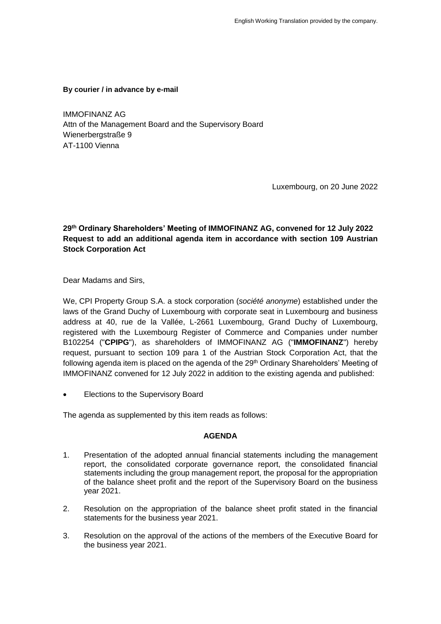**By courier / in advance by e-mail**

IMMOFINANZ AG Attn of the Management Board and the Supervisory Board Wienerbergstraße 9 AT-1100 Vienna

Luxembourg, on 20 June 2022

# **29th Ordinary Shareholders' Meeting of IMMOFINANZ AG, convened for 12 July 2022 Request to add an additional agenda item in accordance with section 109 Austrian Stock Corporation Act**

Dear Madams and Sirs,

We, CPI Property Group S.A. a stock corporation (*société anonyme*) established under the laws of the Grand Duchy of Luxembourg with corporate seat in Luxembourg and business address at 40, rue de la Vallée, L-2661 Luxembourg, Grand Duchy of Luxembourg, registered with the Luxembourg Register of Commerce and Companies under number B102254 ("**CPIPG**"), as shareholders of IMMOFINANZ AG ("**IMMOFINANZ**") hereby request, pursuant to section 109 para 1 of the Austrian Stock Corporation Act, that the following agenda item is placed on the agenda of the  $29<sup>th</sup>$  Ordinary Shareholders' Meeting of IMMOFINANZ convened for 12 July 2022 in addition to the existing agenda and published:

Elections to the Supervisory Board

The agenda as supplemented by this item reads as follows:

### **AGENDA**

- 1. Presentation of the adopted annual financial statements including the management report, the consolidated corporate governance report, the consolidated financial statements including the group management report, the proposal for the appropriation of the balance sheet profit and the report of the Supervisory Board on the business year 2021.
- 2. Resolution on the appropriation of the balance sheet profit stated in the financial statements for the business year 2021.
- 3. Resolution on the approval of the actions of the members of the Executive Board for the business year 2021.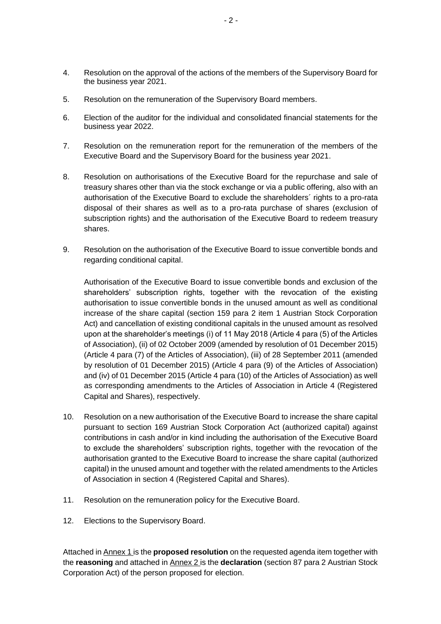- 4. Resolution on the approval of the actions of the members of the Supervisory Board for the business year 2021.
- 5. Resolution on the remuneration of the Supervisory Board members.
- 6. Election of the auditor for the individual and consolidated financial statements for the business year 2022.
- 7. Resolution on the remuneration report for the remuneration of the members of the Executive Board and the Supervisory Board for the business year 2021.
- 8. Resolution on authorisations of the Executive Board for the repurchase and sale of treasury shares other than via the stock exchange or via a public offering, also with an authorisation of the Executive Board to exclude the shareholders´ rights to a pro-rata disposal of their shares as well as to a pro-rata purchase of shares (exclusion of subscription rights) and the authorisation of the Executive Board to redeem treasury shares.
- 9. Resolution on the authorisation of the Executive Board to issue convertible bonds and regarding conditional capital.

Authorisation of the Executive Board to issue convertible bonds and exclusion of the shareholders' subscription rights, together with the revocation of the existing authorisation to issue convertible bonds in the unused amount as well as conditional increase of the share capital (section 159 para 2 item 1 Austrian Stock Corporation Act) and cancellation of existing conditional capitals in the unused amount as resolved upon at the shareholder's meetings (i) of 11 May 2018 (Article 4 para (5) of the Articles of Association), (ii) of 02 October 2009 (amended by resolution of 01 December 2015) (Article 4 para (7) of the Articles of Association), (iii) of 28 September 2011 (amended by resolution of 01 December 2015) (Article 4 para (9) of the Articles of Association) and (iv) of 01 December 2015 (Article 4 para (10) of the Articles of Association) as well as corresponding amendments to the Articles of Association in Article 4 (Registered Capital and Shares), respectively.

- 10. Resolution on a new authorisation of the Executive Board to increase the share capital pursuant to section 169 Austrian Stock Corporation Act (authorized capital) against contributions in cash and/or in kind including the authorisation of the Executive Board to exclude the shareholders' subscription rights, together with the revocation of the authorisation granted to the Executive Board to increase the share capital (authorized capital) in the unused amount and together with the related amendments to the Articles of Association in section 4 (Registered Capital and Shares).
- 11. Resolution on the remuneration policy for the Executive Board.
- 12. Elections to the Supervisory Board.

Attached in Annex 1 is the **proposed resolution** on the requested agenda item together with the **reasoning** and attached in Annex 2 is the **declaration** (section 87 para 2 Austrian Stock Corporation Act) of the person proposed for election.